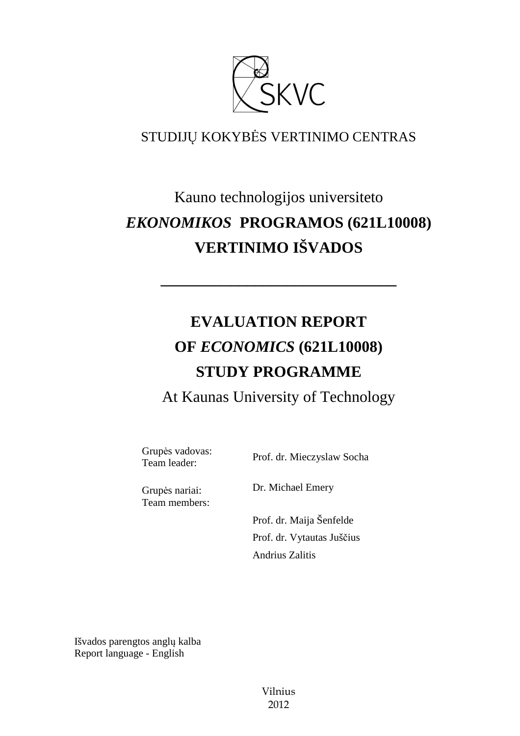

## STUDIJŲ KOKYBĖS VERTINIMO CENTRAS

# Kauno technologijos universiteto *EKONOMIKOS* **PROGRAMOS (621L10008) VERTINIMO IŠVADOS**

# **EVALUATION REPORT OF** *ECONOMICS* **(621L10008) STUDY PROGRAMME**

**––––––––––––––––––––––––––––––** 

At Kaunas University of Technology

Grupės vadovas:

Team leader: Prof. dr. Mieczyslaw Socha

Grupės nariai: Team members: Dr. Michael Emery

 Prof. dr. Maija Šenfelde Prof. dr. Vytautas Juščius Andrius Zalitis

Išvados parengtos anglų kalba Report language - English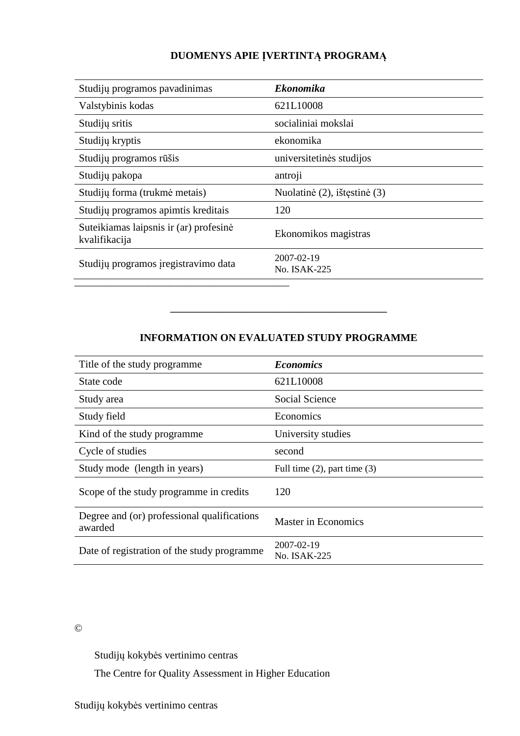#### **DUOMENYS APIE ĮVERTINTĄ PROGRAMĄ**

| Studijų programos pavadinimas                           | <b>Ekonomika</b>             |
|---------------------------------------------------------|------------------------------|
| Valstybinis kodas                                       | 621L10008                    |
| Studijų sritis                                          | socialiniai mokslai          |
| Studijų kryptis                                         | ekonomika                    |
| Studijų programos rūšis                                 | universitetinės studijos     |
| Studijų pakopa                                          | antroji                      |
| Studijų forma (trukmė metais)                           | Nuolatinė (2), ištęstinė (3) |
| Studijų programos apimtis kreditais                     | 120                          |
| Suteikiamas laipsnis ir (ar) profesinė<br>kvalifikacija | Ekonomikos magistras         |
| Studijų programos įregistravimo data                    | 2007-02-19<br>No. ISAK-225   |
|                                                         |                              |

#### **INFORMATION ON EVALUATED STUDY PROGRAMME**

–––––––––––––––––––––––––––––––

| Title of the study programme                           | <b>Economics</b>                  |
|--------------------------------------------------------|-----------------------------------|
| State code                                             | 621L10008                         |
| Study area                                             | Social Science                    |
| Study field                                            | Economics                         |
| Kind of the study programme                            | University studies                |
| Cycle of studies                                       | second                            |
| Study mode (length in years)                           | Full time $(2)$ , part time $(3)$ |
| Scope of the study programme in credits                | 120                               |
| Degree and (or) professional qualifications<br>awarded | <b>Master in Economics</b>        |
| Date of registration of the study programme            | 2007-02-19<br>No. ISAK-225        |

#### ©

Studijų kokybės vertinimo centras

The Centre for Quality Assessment in Higher Education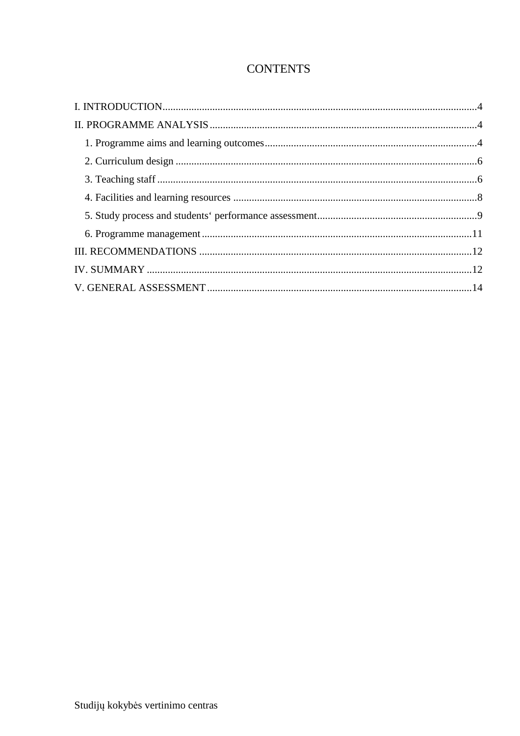### **CONTENTS**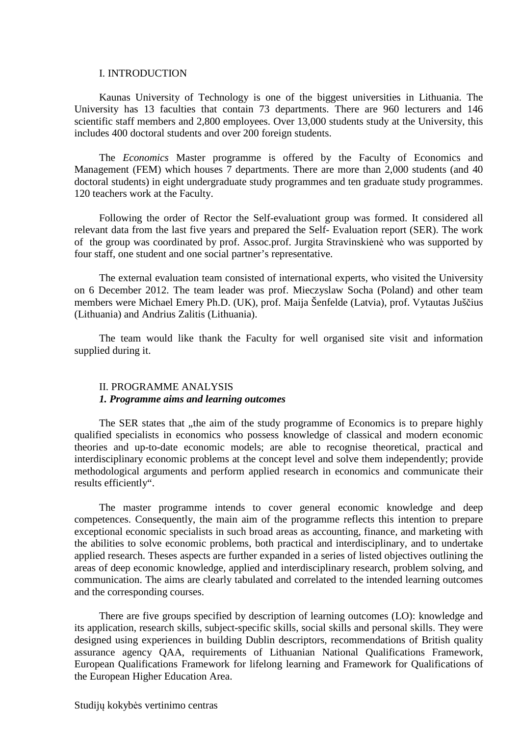#### I. INTRODUCTION

Kaunas University of Technology is one of the biggest universities in Lithuania. The University has 13 faculties that contain 73 departments. There are 960 lecturers and 146 scientific staff members and 2,800 employees. Over 13,000 students study at the University, this includes 400 doctoral students and over 200 foreign students.

The *Economics* Master programme is offered by the Faculty of Economics and Management (FEM) which houses 7 departments. There are more than 2,000 students (and 40 doctoral students) in eight undergraduate study programmes and ten graduate study programmes. 120 teachers work at the Faculty.

Following the order of Rector the Self-evaluationt group was formed. It considered all relevant data from the last five years and prepared the Self- Evaluation report (SER). The work of the group was coordinated by prof. Assoc.prof. Jurgita Stravinskienė who was supported by four staff, one student and one social partner's representative.

The external evaluation team consisted of international experts, who visited the University on 6 December 2012. The team leader was prof. Mieczyslaw Socha (Poland) and other team members were Michael Emery Ph.D. (UK), prof. Maija Šenfelde (Latvia), prof. Vytautas Juščius (Lithuania) and Andrius Zalitis (Lithuania).

The team would like thank the Faculty for well organised site visit and information supplied during it.

#### II. PROGRAMME ANALYSIS *1. Programme aims and learning outcomes*

The SER states that , the aim of the study programme of Economics is to prepare highly qualified specialists in economics who possess knowledge of classical and modern economic theories and up-to-date economic models; are able to recognise theoretical, practical and interdisciplinary economic problems at the concept level and solve them independently; provide methodological arguments and perform applied research in economics and communicate their results efficiently".

The master programme intends to cover general economic knowledge and deep competences. Consequently, the main aim of the programme reflects this intention to prepare exceptional economic specialists in such broad areas as accounting, finance, and marketing with the abilities to solve economic problems, both practical and interdisciplinary, and to undertake applied research. Theses aspects are further expanded in a series of listed objectives outlining the areas of deep economic knowledge, applied and interdisciplinary research, problem solving, and communication. The aims are clearly tabulated and correlated to the intended learning outcomes and the corresponding courses.

There are five groups specified by description of learning outcomes (LO): knowledge and its application, research skills, subject-specific skills, social skills and personal skills. They were designed using experiences in building Dublin descriptors, recommendations of British quality assurance agency QAA, requirements of Lithuanian National Qualifications Framework, European Qualifications Framework for lifelong learning and Framework for Qualifications of the European Higher Education Area.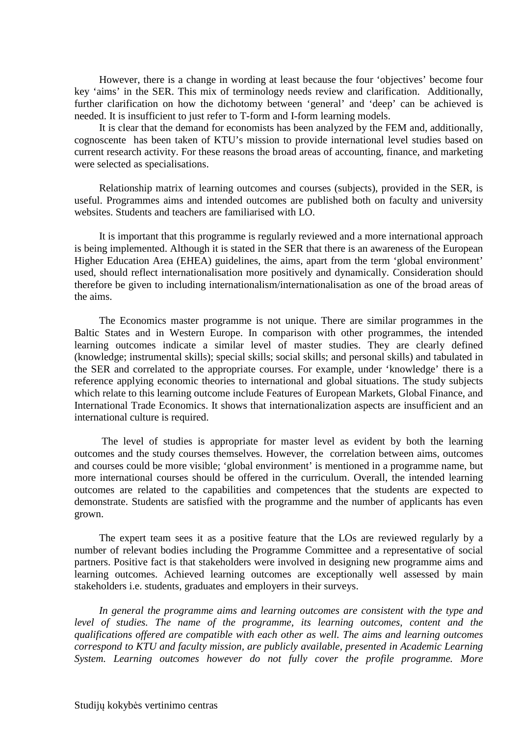However, there is a change in wording at least because the four 'objectives' become four key 'aims' in the SER. This mix of terminology needs review and clarification. Additionally, further clarification on how the dichotomy between 'general' and 'deep' can be achieved is needed. It is insufficient to just refer to T-form and I-form learning models.

It is clear that the demand for economists has been analyzed by the FEM and, additionally, cognoscente has been taken of KTU's mission to provide international level studies based on current research activity. For these reasons the broad areas of accounting, finance, and marketing were selected as specialisations.

Relationship matrix of learning outcomes and courses (subjects), provided in the SER, is useful. Programmes aims and intended outcomes are published both on faculty and university websites. Students and teachers are familiarised with LO.

It is important that this programme is regularly reviewed and a more international approach is being implemented. Although it is stated in the SER that there is an awareness of the European Higher Education Area (EHEA) guidelines, the aims, apart from the term 'global environment' used, should reflect internationalisation more positively and dynamically. Consideration should therefore be given to including internationalism/internationalisation as one of the broad areas of the aims.

The Economics master programme is not unique. There are similar programmes in the Baltic States and in Western Europe. In comparison with other programmes, the intended learning outcomes indicate a similar level of master studies. They are clearly defined (knowledge; instrumental skills); special skills; social skills; and personal skills) and tabulated in the SER and correlated to the appropriate courses. For example, under 'knowledge' there is a reference applying economic theories to international and global situations. The study subjects which relate to this learning outcome include Features of European Markets, Global Finance, and International Trade Economics. It shows that internationalization aspects are insufficient and an international culture is required.

 The level of studies is appropriate for master level as evident by both the learning outcomes and the study courses themselves. However, the correlation between aims, outcomes and courses could be more visible; 'global environment' is mentioned in a programme name, but more international courses should be offered in the curriculum. Overall, the intended learning outcomes are related to the capabilities and competences that the students are expected to demonstrate. Students are satisfied with the programme and the number of applicants has even grown.

The expert team sees it as a positive feature that the LOs are reviewed regularly by a number of relevant bodies including the Programme Committee and a representative of social partners. Positive fact is that stakeholders were involved in designing new programme aims and learning outcomes. Achieved learning outcomes are exceptionally well assessed by main stakeholders i.e. students, graduates and employers in their surveys.

*In general the programme aims and learning outcomes are consistent with the type and level of studies. The name of the programme, its learning outcomes, content and the qualifications offered are compatible with each other as well. The aims and learning outcomes correspond to KTU and faculty mission, are publicly available, presented in Academic Learning System. Learning outcomes however do not fully cover the profile programme. More*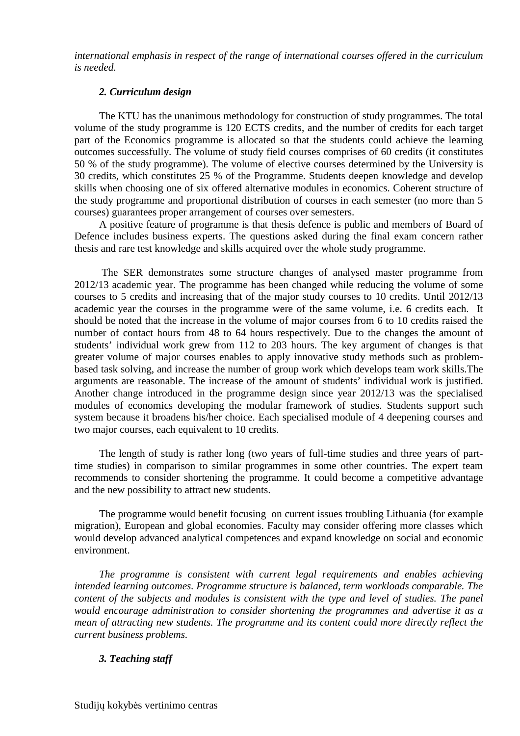*international emphasis in respect of the range of international courses offered in the curriculum is needed.* 

#### *2. Curriculum design*

The KTU has the unanimous methodology for construction of study programmes. The total volume of the study programme is 120 ECTS credits, and the number of credits for each target part of the Economics programme is allocated so that the students could achieve the learning outcomes successfully. The volume of study field courses comprises of 60 credits (it constitutes 50 % of the study programme). The volume of elective courses determined by the University is 30 credits, which constitutes 25 % of the Programme. Students deepen knowledge and develop skills when choosing one of six offered alternative modules in economics. Coherent structure of the study programme and proportional distribution of courses in each semester (no more than 5 courses) guarantees proper arrangement of courses over semesters.

A positive feature of programme is that thesis defence is public and members of Board of Defence includes business experts. The questions asked during the final exam concern rather thesis and rare test knowledge and skills acquired over the whole study programme.

 The SER demonstrates some structure changes of analysed master programme from 2012/13 academic year. The programme has been changed while reducing the volume of some courses to 5 credits and increasing that of the major study courses to 10 credits. Until 2012/13 academic year the courses in the programme were of the same volume, i.e. 6 credits each. It should be noted that the increase in the volume of major courses from 6 to 10 credits raised the number of contact hours from 48 to 64 hours respectively. Due to the changes the amount of students' individual work grew from 112 to 203 hours. The key argument of changes is that greater volume of major courses enables to apply innovative study methods such as problembased task solving, and increase the number of group work which develops team work skills.The arguments are reasonable. The increase of the amount of students' individual work is justified. Another change introduced in the programme design since year 2012/13 was the specialised modules of economics developing the modular framework of studies. Students support such system because it broadens his/her choice. Each specialised module of 4 deepening courses and two major courses, each equivalent to 10 credits.

The length of study is rather long (two years of full-time studies and three years of parttime studies) in comparison to similar programmes in some other countries. The expert team recommends to consider shortening the programme. It could become a competitive advantage and the new possibility to attract new students.

The programme would benefit focusing on current issues troubling Lithuania (for example migration), European and global economies. Faculty may consider offering more classes which would develop advanced analytical competences and expand knowledge on social and economic environment.

*The programme is consistent with current legal requirements and enables achieving intended learning outcomes. Programme structure is balanced, term workloads comparable. The content of the subjects and modules is consistent with the type and level of studies. The panel would encourage administration to consider shortening the programmes and advertise it as a mean of attracting new students. The programme and its content could more directly reflect the current business problems.*

#### *3. Teaching staff*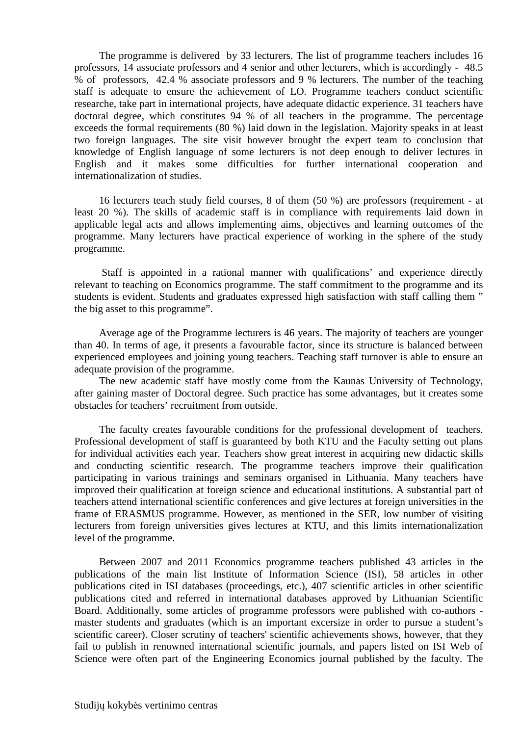The programme is delivered by 33 lecturers. The list of programme teachers includes 16 professors, 14 associate professors and 4 senior and other lecturers, which is accordingly - 48.5 % of professors, 42.4 % associate professors and 9 % lecturers. The number of the teaching staff is adequate to ensure the achievement of LO. Programme teachers conduct scientific researche, take part in international projects, have adequate didactic experience. 31 teachers have doctoral degree, which constitutes 94 % of all teachers in the programme. The percentage exceeds the formal requirements (80 %) laid down in the legislation. Majority speaks in at least two foreign languages. The site visit however brought the expert team to conclusion that knowledge of English language of some lecturers is not deep enough to deliver lectures in English and it makes some difficulties for further international cooperation and internationalization of studies.

16 lecturers teach study field courses, 8 of them (50 %) are professors (requirement - at least 20 %). The skills of academic staff is in compliance with requirements laid down in applicable legal acts and allows implementing aims, objectives and learning outcomes of the programme. Many lecturers have practical experience of working in the sphere of the study programme.

 Staff is appointed in a rational manner with qualifications' and experience directly relevant to teaching on Economics programme. The staff commitment to the programme and its students is evident. Students and graduates expressed high satisfaction with staff calling them " the big asset to this programme".

Average age of the Programme lecturers is 46 years. The majority of teachers are younger than 40. In terms of age, it presents a favourable factor, since its structure is balanced between experienced employees and joining young teachers. Teaching staff turnover is able to ensure an adequate provision of the programme.

The new academic staff have mostly come from the Kaunas University of Technology, after gaining master of Doctoral degree. Such practice has some advantages, but it creates some obstacles for teachers' recruitment from outside.

The faculty creates favourable conditions for the professional development of teachers. Professional development of staff is guaranteed by both KTU and the Faculty setting out plans for individual activities each year. Teachers show great interest in acquiring new didactic skills and conducting scientific research. The programme teachers improve their qualification participating in various trainings and seminars organised in Lithuania. Many teachers have improved their qualification at foreign science and educational institutions. A substantial part of teachers attend international scientific conferences and give lectures at foreign universities in the frame of ERASMUS programme. However, as mentioned in the SER, low number of visiting lecturers from foreign universities gives lectures at KTU, and this limits internationalization level of the programme.

Between 2007 and 2011 Economics programme teachers published 43 articles in the publications of the main list Institute of Information Science (ISI), 58 articles in other publications cited in ISI databases (proceedings, etc.), 407 scientific articles in other scientific publications cited and referred in international databases approved by Lithuanian Scientific Board. Additionally, some articles of programme professors were published with co-authors master students and graduates (which is an important excersize in order to pursue a student's scientific career). Closer scrutiny of teachers' scientific achievements shows, however, that they fail to publish in renowned international scientific journals, and papers listed on ISI Web of Science were often part of the Engineering Economics journal published by the faculty. The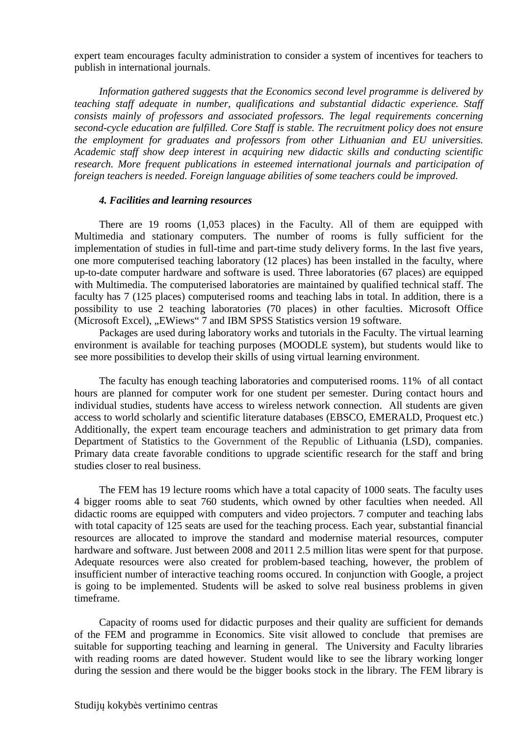expert team encourages faculty administration to consider a system of incentives for teachers to publish in international journals.

*Information gathered suggests that the Economics second level programme is delivered by teaching staff adequate in number, qualifications and substantial didactic experience. Staff consists mainly of professors and associated professors. The legal requirements concerning second-cycle education are fulfilled. Core Staff is stable. The recruitment policy does not ensure the employment for graduates and professors from other Lithuanian and EU universities. Academic staff show deep interest in acquiring new didactic skills and conducting scientific research. More frequent publications in esteemed international journals and participation of foreign teachers is needed. Foreign language abilities of some teachers could be improved.* 

#### *4. Facilities and learning resources*

There are 19 rooms (1,053 places) in the Faculty. All of them are equipped with Multimedia and stationary computers. The number of rooms is fully sufficient for the implementation of studies in full-time and part-time study delivery forms. In the last five years, one more computerised teaching laboratory (12 places) has been installed in the faculty, where up-to-date computer hardware and software is used. Three laboratories (67 places) are equipped with Multimedia. The computerised laboratories are maintained by qualified technical staff. The faculty has 7 (125 places) computerised rooms and teaching labs in total. In addition, there is a possibility to use 2 teaching laboratories (70 places) in other faculties. Microsoft Office (Microsoft Excel), ...EWiews" 7 and IBM SPSS Statistics version 19 software.

Packages are used during laboratory works and tutorials in the Faculty. The virtual learning environment is available for teaching purposes (MOODLE system), but students would like to see more possibilities to develop their skills of using virtual learning environment.

The faculty has enough teaching laboratories and computerised rooms. 11% of all contact hours are planned for computer work for one student per semester. During contact hours and individual studies, students have access to wireless network connection. All students are given access to world scholarly and scientific literature databases (EBSCO, EMERALD, Proquest etc.) Additionally, the expert team encourage teachers and administration to get primary data from Department of Statistics to the Government of the Republic of Lithuania (LSD), companies. Primary data create favorable conditions to upgrade scientific research for the staff and bring studies closer to real business.

The FEM has 19 lecture rooms which have a total capacity of 1000 seats. The faculty uses 4 bigger rooms able to seat 760 students, which owned by other faculties when needed. All didactic rooms are equipped with computers and video projectors. 7 computer and teaching labs with total capacity of 125 seats are used for the teaching process. Each year, substantial financial resources are allocated to improve the standard and modernise material resources, computer hardware and software. Just between 2008 and 2011 2.5 million litas were spent for that purpose. Adequate resources were also created for problem-based teaching, however, the problem of insufficient number of interactive teaching rooms occured. In conjunction with Google, a project is going to be implemented. Students will be asked to solve real business problems in given timeframe.

Capacity of rooms used for didactic purposes and their quality are sufficient for demands of the FEM and programme in Economics. Site visit allowed to conclude that premises are suitable for supporting teaching and learning in general. The University and Faculty libraries with reading rooms are dated however. Student would like to see the library working longer during the session and there would be the bigger books stock in the library. The FEM library is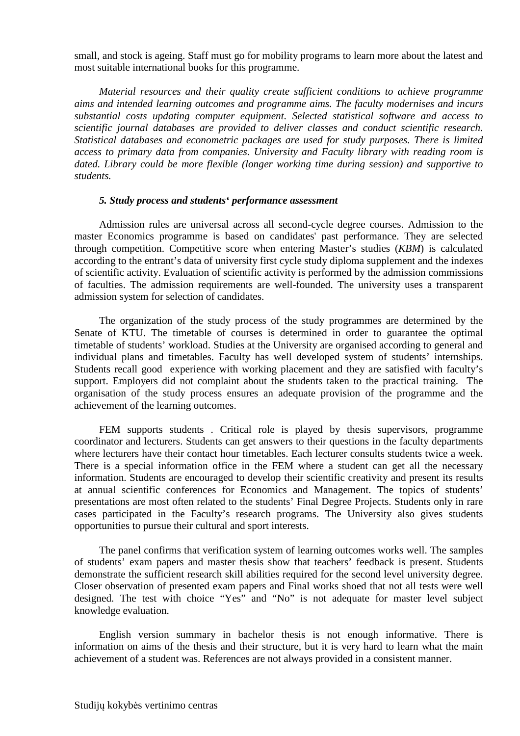small, and stock is ageing. Staff must go for mobility programs to learn more about the latest and most suitable international books for this programme.

*Material resources and their quality create sufficient conditions to achieve programme aims and intended learning outcomes and programme aims. The faculty modernises and incurs substantial costs updating computer equipment. Selected statistical software and access to scientific journal databases are provided to deliver classes and conduct scientific research. Statistical databases and econometric packages are used for study purposes. There is limited access to primary data from companies. University and Faculty library with reading room is dated. Library could be more flexible (longer working time during session) and supportive to students.* 

#### *5. Study process and students' performance assessment*

Admission rules are universal across all second-cycle degree courses. Admission to the master Economics programme is based on candidates' past performance. They are selected through competition. Competitive score when entering Master's studies (*KBM*) is calculated according to the entrant's data of university first cycle study diploma supplement and the indexes of scientific activity. Evaluation of scientific activity is performed by the admission commissions of faculties. The admission requirements are well-founded. The university uses a transparent admission system for selection of candidates.

The organization of the study process of the study programmes are determined by the Senate of KTU. The timetable of courses is determined in order to guarantee the optimal timetable of students' workload. Studies at the University are organised according to general and individual plans and timetables. Faculty has well developed system of students' internships. Students recall good experience with working placement and they are satisfied with faculty's support. Employers did not complaint about the students taken to the practical training. The organisation of the study process ensures an adequate provision of the programme and the achievement of the learning outcomes.

FEM supports students . Critical role is played by thesis supervisors, programme coordinator and lecturers. Students can get answers to their questions in the faculty departments where lecturers have their contact hour timetables. Each lecturer consults students twice a week. There is a special information office in the FEM where a student can get all the necessary information. Students are encouraged to develop their scientific creativity and present its results at annual scientific conferences for Economics and Management. The topics of students' presentations are most often related to the students' Final Degree Projects. Students only in rare cases participated in the Faculty's research programs. The University also gives students opportunities to pursue their cultural and sport interests.

The panel confirms that verification system of learning outcomes works well. The samples of students' exam papers and master thesis show that teachers' feedback is present. Students demonstrate the sufficient research skill abilities required for the second level university degree. Closer observation of presented exam papers and Final works shoed that not all tests were well designed. The test with choice "Yes" and "No" is not adequate for master level subject knowledge evaluation.

English version summary in bachelor thesis is not enough informative. There is information on aims of the thesis and their structure, but it is very hard to learn what the main achievement of a student was. References are not always provided in a consistent manner.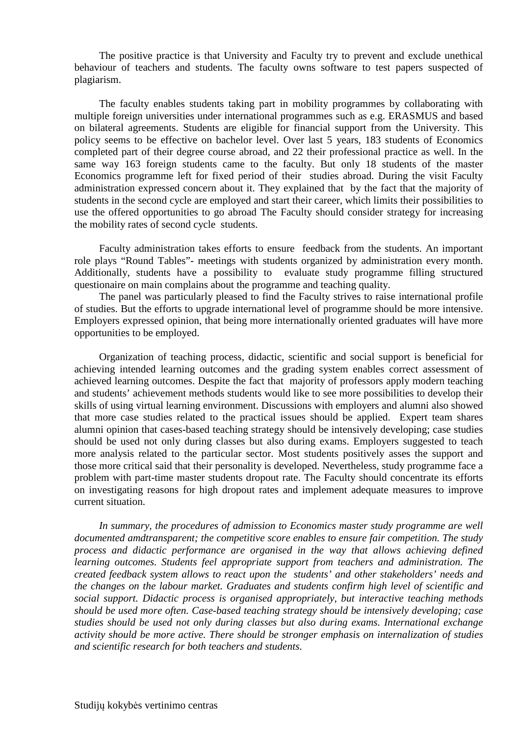The positive practice is that University and Faculty try to prevent and exclude unethical behaviour of teachers and students. The faculty owns software to test papers suspected of plagiarism.

The faculty enables students taking part in mobility programmes by collaborating with multiple foreign universities under international programmes such as e.g. ERASMUS and based on bilateral agreements. Students are eligible for financial support from the University. This policy seems to be effective on bachelor level. Over last 5 years, 183 students of Economics completed part of their degree course abroad, and 22 their professional practice as well. In the same way 163 foreign students came to the faculty. But only 18 students of the master Economics programme left for fixed period of their studies abroad. During the visit Faculty administration expressed concern about it. They explained that by the fact that the majority of students in the second cycle are employed and start their career, which limits their possibilities to use the offered opportunities to go abroad The Faculty should consider strategy for increasing the mobility rates of second cycle students.

Faculty administration takes efforts to ensure feedback from the students. An important role plays "Round Tables"- meetings with students organized by administration every month. Additionally, students have a possibility to evaluate study programme filling structured questionaire on main complains about the programme and teaching quality.

The panel was particularly pleased to find the Faculty strives to raise international profile of studies. But the efforts to upgrade international level of programme should be more intensive. Employers expressed opinion, that being more internationally oriented graduates will have more opportunities to be employed.

Organization of teaching process, didactic, scientific and social support is beneficial for achieving intended learning outcomes and the grading system enables correct assessment of achieved learning outcomes. Despite the fact that majority of professors apply modern teaching and students' achievement methods students would like to see more possibilities to develop their skills of using virtual learning environment. Discussions with employers and alumni also showed that more case studies related to the practical issues should be applied. Expert team shares alumni opinion that cases-based teaching strategy should be intensively developing; case studies should be used not only during classes but also during exams. Employers suggested to teach more analysis related to the particular sector. Most students positively asses the support and those more critical said that their personality is developed. Nevertheless, study programme face a problem with part-time master students dropout rate. The Faculty should concentrate its efforts on investigating reasons for high dropout rates and implement adequate measures to improve current situation.

*In summary, the procedures of admission to Economics master study programme are well documented amdtransparent; the competitive score enables to ensure fair competition. The study process and didactic performance are organised in the way that allows achieving defined learning outcomes. Students feel appropriate support from teachers and administration. The created feedback system allows to react upon the students' and other stakeholders' needs and the changes on the labour market. Graduates and students confirm high level of scientific and social support. Didactic process is organised appropriately, but interactive teaching methods should be used more often. Case-based teaching strategy should be intensively developing; case studies should be used not only during classes but also during exams. International exchange activity should be more active. There should be stronger emphasis on internalization of studies and scientific research for both teachers and students.*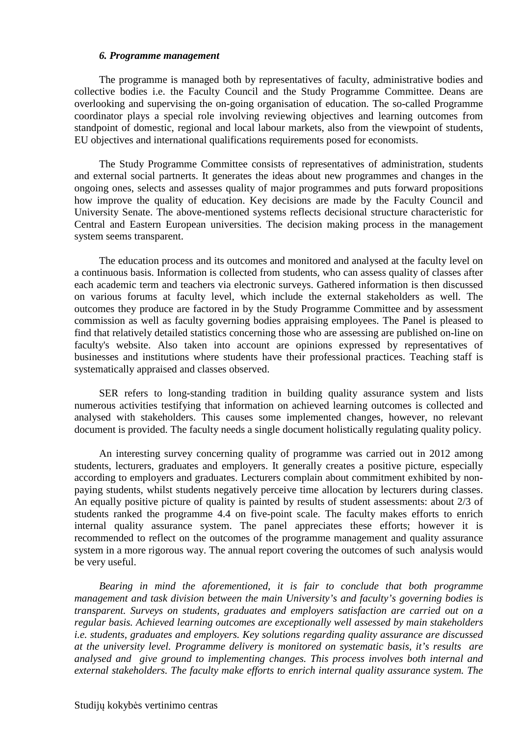#### *6. Programme management*

The programme is managed both by representatives of faculty, administrative bodies and collective bodies i.e. the Faculty Council and the Study Programme Committee. Deans are overlooking and supervising the on-going organisation of education. The so-called Programme coordinator plays a special role involving reviewing objectives and learning outcomes from standpoint of domestic, regional and local labour markets, also from the viewpoint of students, EU objectives and international qualifications requirements posed for economists.

The Study Programme Committee consists of representatives of administration, students and external social partnerts. It generates the ideas about new programmes and changes in the ongoing ones, selects and assesses quality of major programmes and puts forward propositions how improve the quality of education. Key decisions are made by the Faculty Council and University Senate. The above-mentioned systems reflects decisional structure characteristic for Central and Eastern European universities. The decision making process in the management system seems transparent.

The education process and its outcomes and monitored and analysed at the faculty level on a continuous basis. Information is collected from students, who can assess quality of classes after each academic term and teachers via electronic surveys. Gathered information is then discussed on various forums at faculty level, which include the external stakeholders as well. The outcomes they produce are factored in by the Study Programme Committee and by assessment commission as well as faculty governing bodies appraising employees. The Panel is pleased to find that relatively detailed statistics concerning those who are assessing are published on-line on faculty's website. Also taken into account are opinions expressed by representatives of businesses and institutions where students have their professional practices. Teaching staff is systematically appraised and classes observed.

SER refers to long-standing tradition in building quality assurance system and lists numerous activities testifying that information on achieved learning outcomes is collected and analysed with stakeholders. This causes some implemented changes, however, no relevant document is provided. The faculty needs a single document holistically regulating quality policy.

An interesting survey concerning quality of programme was carried out in 2012 among students, lecturers, graduates and employers. It generally creates a positive picture, especially according to employers and graduates. Lecturers complain about commitment exhibited by nonpaying students, whilst students negatively perceive time allocation by lecturers during classes. An equally positive picture of quality is painted by results of student assessments: about 2/3 of students ranked the programme 4.4 on five-point scale. The faculty makes efforts to enrich internal quality assurance system. The panel appreciates these efforts; however it is recommended to reflect on the outcomes of the programme management and quality assurance system in a more rigorous way. The annual report covering the outcomes of such analysis would be very useful.

*Bearing in mind the aforementioned, it is fair to conclude that both programme management and task division between the main University's and faculty's governing bodies is transparent. Surveys on students, graduates and employers satisfaction are carried out on a regular basis. Achieved learning outcomes are exceptionally well assessed by main stakeholders i.e. students, graduates and employers. Key solutions regarding quality assurance are discussed at the university level. Programme delivery is monitored on systematic basis, it's results are analysed and give ground to implementing changes. This process involves both internal and external stakeholders. The faculty make efforts to enrich internal quality assurance system. The*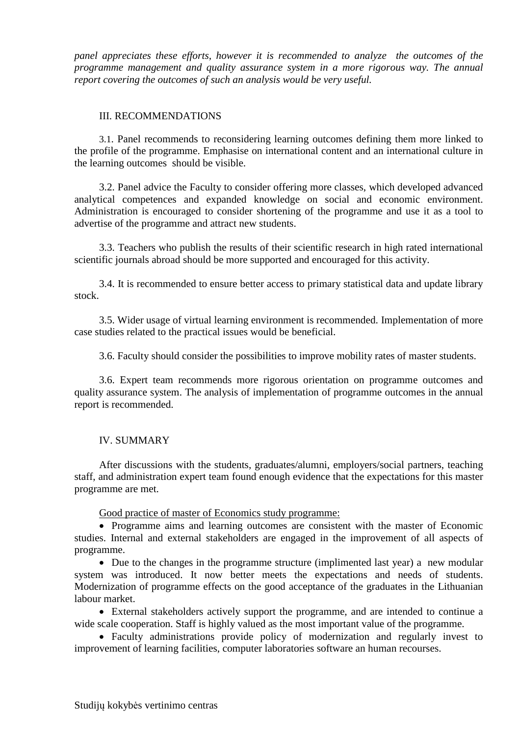*panel appreciates these efforts, however it is recommended to analyze the outcomes of the programme management and quality assurance system in a more rigorous way. The annual report covering the outcomes of such an analysis would be very useful.* 

#### III. RECOMMENDATIONS

3.1. Panel recommends to reconsidering learning outcomes defining them more linked to the profile of the programme. Emphasise on international content and an international culture in the learning outcomes should be visible.

3.2. Panel advice the Faculty to consider offering more classes, which developed advanced analytical competences and expanded knowledge on social and economic environment. Administration is encouraged to consider shortening of the programme and use it as a tool to advertise of the programme and attract new students.

3.3. Teachers who publish the results of their scientific research in high rated international scientific journals abroad should be more supported and encouraged for this activity.

3.4. It is recommended to ensure better access to primary statistical data and update library stock.

3.5. Wider usage of virtual learning environment is recommended. Implementation of more case studies related to the practical issues would be beneficial.

3.6. Faculty should consider the possibilities to improve mobility rates of master students.

3.6. Expert team recommends more rigorous orientation on programme outcomes and quality assurance system. The analysis of implementation of programme outcomes in the annual report is recommended.

#### IV. SUMMARY

After discussions with the students, graduates/alumni, employers/social partners, teaching staff, and administration expert team found enough evidence that the expectations for this master programme are met.

Good practice of master of Economics study programme:

• Programme aims and learning outcomes are consistent with the master of Economic studies. Internal and external stakeholders are engaged in the improvement of all aspects of programme.

• Due to the changes in the programme structure (implimented last year) a new modular system was introduced. It now better meets the expectations and needs of students. Modernization of programme effects on the good acceptance of the graduates in the Lithuanian labour market.

• External stakeholders actively support the programme, and are intended to continue a wide scale cooperation. Staff is highly valued as the most important value of the programme.

• Faculty administrations provide policy of modernization and regularly invest to improvement of learning facilities, computer laboratories software an human recourses.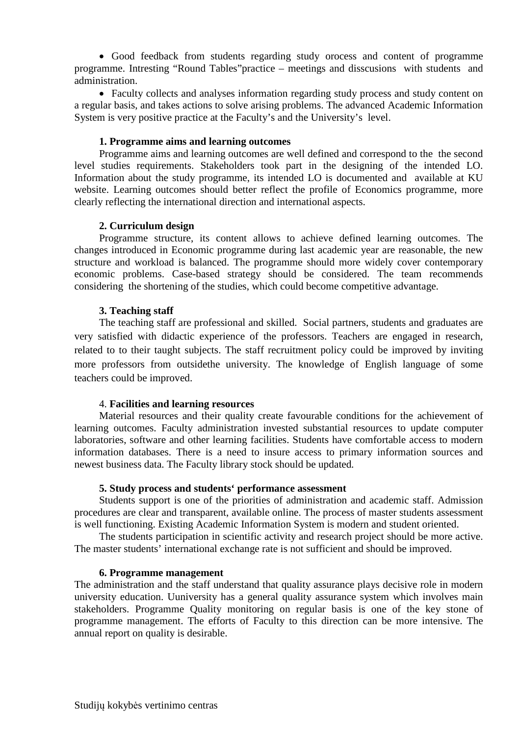• Good feedback from students regarding study orocess and content of programme programme. Intresting "Round Tables"practice – meetings and disscusions with students and administration.

• Faculty collects and analyses information regarding study process and study content on a regular basis, and takes actions to solve arising problems. The advanced Academic Information System is very positive practice at the Faculty's and the University's level.

#### **1. Programme aims and learning outcomes**

Programme aims and learning outcomes are well defined and correspond to the the second level studies requirements. Stakeholders took part in the designing of the intended LO. Information about the study programme, its intended LO is documented and available at KU website. Learning outcomes should better reflect the profile of Economics programme, more clearly reflecting the international direction and international aspects.

#### **2. Curriculum design**

Programme structure, its content allows to achieve defined learning outcomes. The changes introduced in Economic programme during last academic year are reasonable, the new structure and workload is balanced. The programme should more widely cover contemporary economic problems. Case-based strategy should be considered. The team recommends considering the shortening of the studies, which could become competitive advantage.

#### **3. Teaching staff**

The teaching staff are professional and skilled. Social partners, students and graduates are very satisfied with didactic experience of the professors. Teachers are engaged in research, related to to their taught subjects. The staff recruitment policy could be improved by inviting more professors from outsidethe university. The knowledge of English language of some teachers could be improved.

#### 4. **Facilities and learning resources**

Material resources and their quality create favourable conditions for the achievement of learning outcomes. Faculty administration invested substantial resources to update computer laboratories, software and other learning facilities. Students have comfortable access to modern information databases. There is a need to insure access to primary information sources and newest business data. The Faculty library stock should be updated*.* 

#### **5. Study process and students' performance assessment**

Students support is one of the priorities of administration and academic staff. Admission procedures are clear and transparent, available online. The process of master students assessment is well functioning. Existing Academic Information System is modern and student oriented.

The students participation in scientific activity and research project should be more active. The master students' international exchange rate is not sufficient and should be improved.

#### **6. Programme management**

The administration and the staff understand that quality assurance plays decisive role in modern university education. Uuniversity has a general quality assurance system which involves main stakeholders. Programme Quality monitoring on regular basis is one of the key stone of programme management. The efforts of Faculty to this direction can be more intensive. The annual report on quality is desirable.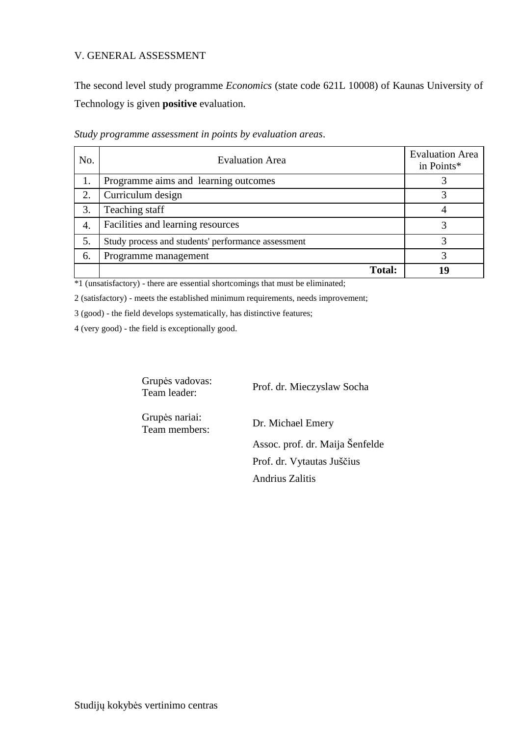#### V. GENERAL ASSESSMENT

The second level study programme *Economics* (state code 621L 10008) of Kaunas University of Technology is given **positive** evaluation.

| No. | <b>Evaluation Area</b>                             | <b>Evaluation Area</b><br>in Points* |
|-----|----------------------------------------------------|--------------------------------------|
|     | Programme aims and learning outcomes               |                                      |
| 2.  | Curriculum design                                  |                                      |
| 3.  | Teaching staff                                     |                                      |
| 4.  | Facilities and learning resources                  |                                      |
| 5.  | Study process and students' performance assessment |                                      |
| 6.  | Programme management                               |                                      |
|     | <b>Total:</b>                                      | 19                                   |

*Study programme assessment in points by evaluation areas*.

\*1 (unsatisfactory) - there are essential shortcomings that must be eliminated;

2 (satisfactory) - meets the established minimum requirements, needs improvement;

3 (good) - the field develops systematically, has distinctive features;

4 (very good) - the field is exceptionally good.

Grupės vadovas:

Team leader: Prof. dr. Mieczyslaw Socha

Grupės nariai:

Team members: Dr. Michael Emery Assoc. prof. dr. Maija Šenfelde Prof. dr. Vytautas Juščius

Andrius Zalitis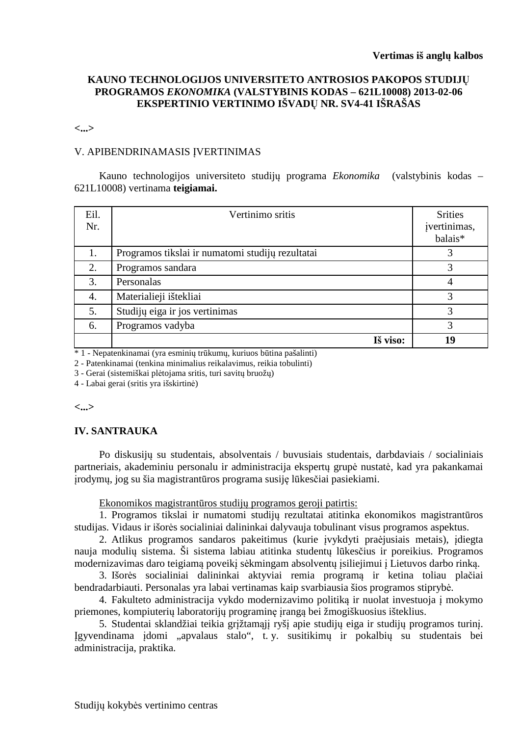#### **KAUNO TECHNOLOGIJOS UNIVERSITETO ANTROSIOS PAKOPOS STUDIJŲ PROGRAMOS** *EKONOMIKA* **(VALSTYBINIS KODAS – 621L10008) 2013-02-06 EKSPERTINIO VERTINIMO IŠVADŲ NR. SV4-41 IŠRAŠAS**

#### **<...>**

#### V. APIBENDRINAMASIS ĮVERTINIMAS

Kauno technologijos universiteto studijų programa *Ekonomika* (valstybinis kodas – 621L10008) vertinama **teigiamai.**

| Eil.<br>Nr. | Vertinimo sritis                                 | <b>Srities</b><br>jvertinimas,<br>balais* |
|-------------|--------------------------------------------------|-------------------------------------------|
| 1.          | Programos tikslai ir numatomi studijų rezultatai | 3                                         |
| 2.          | Programos sandara                                | 3                                         |
| 3.          | Personalas                                       | 4                                         |
| 4.          | Materialieji ištekliai                           | 3                                         |
| 5.          | Studijų eiga ir jos vertinimas                   | 3                                         |
| 6.          | Programos vadyba                                 | 3                                         |
|             | Iš viso:                                         | 19                                        |

\* 1 - Nepatenkinamai (yra esminių trūkumų, kuriuos būtina pašalinti)

2 - Patenkinamai (tenkina minimalius reikalavimus, reikia tobulinti)

3 - Gerai (sistemiškai plėtojama sritis, turi savitų bruožų)

4 - Labai gerai (sritis yra išskirtinė)

#### **<...>**

#### **IV. SANTRAUKA**

Po diskusijų su studentais, absolventais / buvusiais studentais, darbdaviais / socialiniais partneriais, akademiniu personalu ir administracija ekspertų grupė nustatė, kad yra pakankamai įrodymų, jog su šia magistrantūros programa susiję lūkesčiai pasiekiami.

Ekonomikos magistrantūros studijų programos geroji patirtis:

1. Programos tikslai ir numatomi studijų rezultatai atitinka ekonomikos magistrantūros studijas. Vidaus ir išorės socialiniai dalininkai dalyvauja tobulinant visus programos aspektus.

2. Atlikus programos sandaros pakeitimus (kurie įvykdyti praėjusiais metais), įdiegta nauja modulių sistema. Ši sistema labiau atitinka studentų lūkesčius ir poreikius. Programos modernizavimas daro teigiamą poveikį sėkmingam absolventų įsiliejimui į Lietuvos darbo rinką.

3. Išorės socialiniai dalininkai aktyviai remia programą ir ketina toliau plačiai bendradarbiauti. Personalas yra labai vertinamas kaip svarbiausia šios programos stiprybė.

4. Fakulteto administracija vykdo modernizavimo politiką ir nuolat investuoja į mokymo priemones, kompiuterių laboratorijų programinę įrangą bei žmogiškuosius išteklius.

5. Studentai sklandžiai teikia grįžtamąjį ryšį apie studijų eiga ir studijų programos turinį. Įgyvendinama įdomi "apvalaus stalo", t. y. susitikimų ir pokalbių su studentais bei administracija, praktika.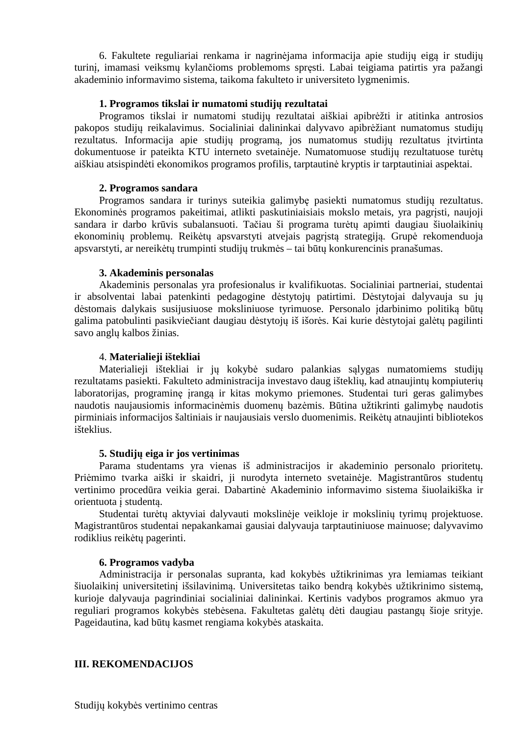6. Fakultete reguliariai renkama ir nagrinėjama informacija apie studijų eigą ir studijų turinį, imamasi veiksmų kylančioms problemoms spręsti. Labai teigiama patirtis yra pažangi akademinio informavimo sistema, taikoma fakulteto ir universiteto lygmenimis.

#### **1. Programos tikslai ir numatomi studijų rezultatai**

Programos tikslai ir numatomi studijų rezultatai aiškiai apibrėžti ir atitinka antrosios pakopos studijų reikalavimus. Socialiniai dalininkai dalyvavo apibrėžiant numatomus studijų rezultatus. Informacija apie studijų programą, jos numatomus studijų rezultatus įtvirtinta dokumentuose ir pateikta KTU interneto svetainėje. Numatomuose studijų rezultatuose turėtų aiškiau atsispindėti ekonomikos programos profilis, tarptautinė kryptis ir tarptautiniai aspektai.

#### **2. Programos sandara**

Programos sandara ir turinys suteikia galimybę pasiekti numatomus studijų rezultatus. Ekonominės programos pakeitimai, atlikti paskutiniaisiais mokslo metais, yra pagrįsti, naujoji sandara ir darbo krūvis subalansuoti. Tačiau ši programa turėtų apimti daugiau šiuolaikinių ekonominių problemų. Reikėtų apsvarstyti atvejais pagrįstą strategiją. Grupė rekomenduoja apsvarstyti, ar nereikėtų trumpinti studijų trukmės – tai būtų konkurencinis pranašumas.

#### **3. Akademinis personalas**

Akademinis personalas yra profesionalus ir kvalifikuotas. Socialiniai partneriai, studentai ir absolventai labai patenkinti pedagogine dėstytojų patirtimi. Dėstytojai dalyvauja su jų dėstomais dalykais susijusiuose moksliniuose tyrimuose. Personalo įdarbinimo politiką būtų galima patobulinti pasikviečiant daugiau dėstytojų iš išorės. Kai kurie dėstytojai galėtų pagilinti savo anglų kalbos žinias.

#### 4. **Materialieji ištekliai**

Materialieji ištekliai ir jų kokybė sudaro palankias sąlygas numatomiems studijų rezultatams pasiekti. Fakulteto administracija investavo daug išteklių, kad atnaujintų kompiuterių laboratorijas, programinę įrangą ir kitas mokymo priemones. Studentai turi geras galimybes naudotis naujausiomis informacinėmis duomenų bazėmis. Būtina užtikrinti galimybę naudotis pirminiais informacijos šaltiniais ir naujausiais verslo duomenimis. Reikėtų atnaujinti bibliotekos išteklius.

#### **5. Studijų eiga ir jos vertinimas**

Parama studentams yra vienas iš administracijos ir akademinio personalo prioritetų. Priėmimo tvarka aiški ir skaidri, ji nurodyta interneto svetainėje. Magistrantūros studentų vertinimo procedūra veikia gerai. Dabartinė Akademinio informavimo sistema šiuolaikiška ir orientuota į studentą.

Studentai turėtų aktyviai dalyvauti mokslinėje veikloje ir mokslinių tyrimų projektuose. Magistrantūros studentai nepakankamai gausiai dalyvauja tarptautiniuose mainuose; dalyvavimo rodiklius reikėtų pagerinti.

#### **6. Programos vadyba**

Administracija ir personalas supranta, kad kokybės užtikrinimas yra lemiamas teikiant šiuolaikinį universitetinį išsilavinimą. Universitetas taiko bendrą kokybės užtikrinimo sistemą, kurioje dalyvauja pagrindiniai socialiniai dalininkai. Kertinis vadybos programos akmuo yra reguliari programos kokybės stebėsena. Fakultetas galėtų dėti daugiau pastangų šioje srityje. Pageidautina, kad būtų kasmet rengiama kokybės ataskaita.

#### **III. REKOMENDACIJOS**